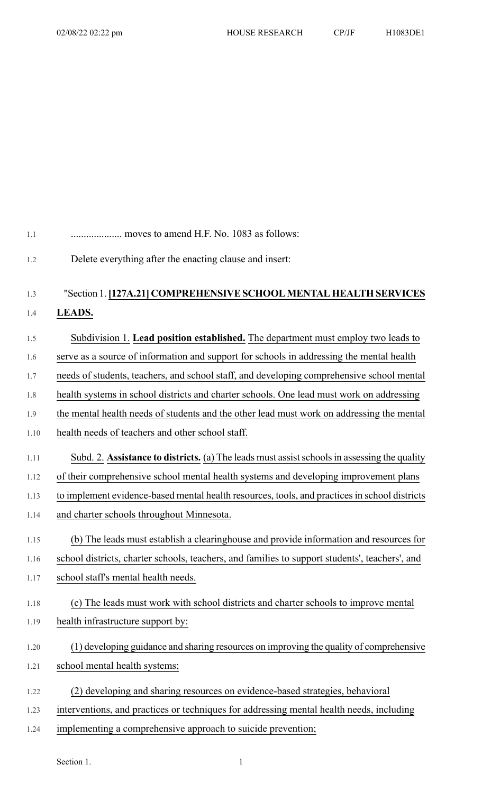| 1.1  | moves to amend H.F. No. 1083 as follows:                                                       |
|------|------------------------------------------------------------------------------------------------|
| 1.2  | Delete everything after the enacting clause and insert:                                        |
| 1.3  | "Section 1. [127A.21] COMPREHENSIVE SCHOOL MENTAL HEALTH SERVICES                              |
| 1.4  | LEADS.                                                                                         |
| 1.5  | Subdivision 1. Lead position established. The department must employ two leads to              |
| 1.6  | serve as a source of information and support for schools in addressing the mental health       |
| 1.7  | needs of students, teachers, and school staff, and developing comprehensive school mental      |
| 1.8  | health systems in school districts and charter schools. One lead must work on addressing       |
| 1.9  | the mental health needs of students and the other lead must work on addressing the mental      |
| 1.10 | health needs of teachers and other school staff.                                               |
| 1.11 | Subd. 2. Assistance to districts. (a) The leads must assist schools in assessing the quality   |
| 1.12 | of their comprehensive school mental health systems and developing improvement plans           |
| 1.13 | to implement evidence-based mental health resources, tools, and practices in school districts  |
| 1.14 | and charter schools throughout Minnesota.                                                      |
| 1.15 | (b) The leads must establish a clearinghouse and provide information and resources for         |
| 1.16 | school districts, charter schools, teachers, and families to support students', teachers', and |
| 1.17 | school staff's mental health needs.                                                            |
| 1.18 | (c) The leads must work with school districts and charter schools to improve mental            |
| 1.19 | health infrastructure support by:                                                              |
| 1.20 | (1) developing guidance and sharing resources on improving the quality of comprehensive        |
| 1.21 | school mental health systems;                                                                  |
| 1.22 | (2) developing and sharing resources on evidence-based strategies, behavioral                  |
| 1.23 | interventions, and practices or techniques for addressing mental health needs, including       |
| 1.24 | implementing a comprehensive approach to suicide prevention;                                   |

Section 1. 1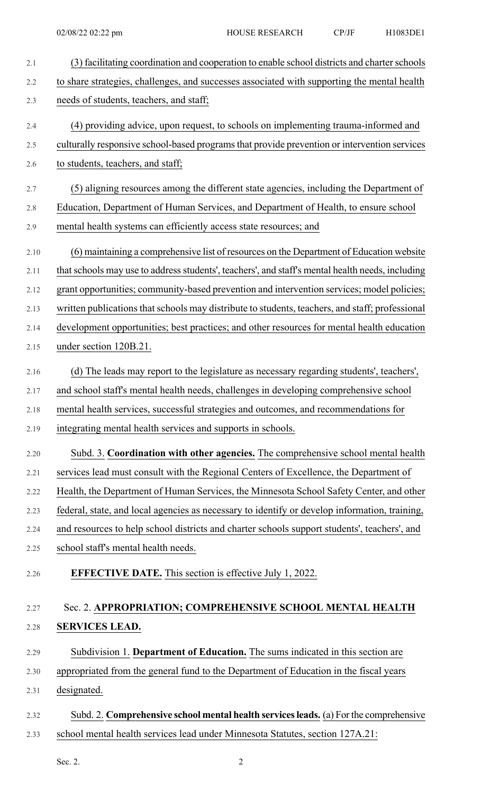2.1 (3) facilitating coordination and cooperation to enable school districts and charter schools 2.2 to share strategies, challenges, and successes associated with supporting the mental health 2.3 needs of students, teachers, and staff; 2.4 (4) providing advice, upon request, to schools on implementing trauma-informed and 2.5 culturally responsive school-based programs that provide prevention or intervention services 2.6 to students, teachers, and staff; 2.7 (5) aligning resources among the different state agencies, including the Department of 2.8 Education, Department of Human Services, and Department of Health, to ensure school 2.9 mental health systems can efficiently access state resources; and 2.10 (6) maintaining a comprehensive list of resources on the Department of Education website 2.11 that schools may use to address students', teachers', and staff's mental health needs, including 2.12 grant opportunities; community-based prevention and intervention services; model policies; 2.13 written publications that schools may distribute to students, teachers, and staff; professional 2.14 development opportunities; best practices; and other resources for mental health education 2.15 under section 120B.21. 2.16 (d) The leads may report to the legislature as necessary regarding students', teachers', 2.17 and school staff's mental health needs, challenges in developing comprehensive school 2.18 mental health services, successful strategies and outcomes, and recommendations for 2.19 integrating mental health services and supports in schools. 2.20 Subd. 3. **Coordination with other agencies.** The comprehensive school mental health 2.21 services lead must consult with the Regional Centers of Excellence, the Department of 2.22 Health, the Department of Human Services, the Minnesota School Safety Center, and other 2.23 federal, state, and local agencies as necessary to identify or develop information, training, 2.24 and resources to help school districts and charter schools support students', teachers', and 2.25 school staff's mental health needs. 2.26 **EFFECTIVE DATE.** This section is effective July 1, 2022. 2.27 Sec. 2. **APPROPRIATION; COMPREHENSIVE SCHOOL MENTAL HEALTH** 2.28 **SERVICES LEAD.** 2.29 Subdivision 1. **Department of Education.** The sums indicated in this section are 2.30 appropriated from the general fund to the Department of Education in the fiscal years 2.31 designated. 2.32 Subd. 2. **Comprehensive school mental health servicesleads.** (a) For the comprehensive 2.33 school mental health services lead under Minnesota Statutes, section 127A.21:

Sec. 2.  $\hspace{2.5cm}$  2